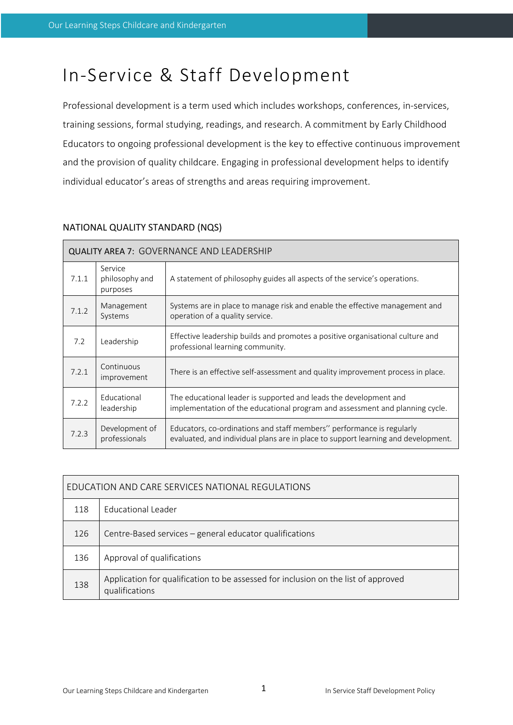# In-Service & Staff Development

Professional development is a term used which includes workshops, conferences, in-services, training sessions, formal studying, readings, and research. A commitment by Early Childhood Educators to ongoing professional development is the key to effective continuous improvement and the provision of quality childcare. Engaging in professional development helps to identify individual educator's areas of strengths and areas requiring improvement.

# NATIONAL QUALITY STANDARD (NQS)

| <b>QUALITY AREA 7: GOVERNANCE AND LEADERSHIP</b> |                                       |                                                                                                                                                            |  |  |  |
|--------------------------------------------------|---------------------------------------|------------------------------------------------------------------------------------------------------------------------------------------------------------|--|--|--|
| 7.1.1                                            | Service<br>philosophy and<br>purposes | A statement of philosophy guides all aspects of the service's operations.                                                                                  |  |  |  |
| 7.1.2                                            | Management<br>Systems                 | Systems are in place to manage risk and enable the effective management and<br>operation of a quality service.                                             |  |  |  |
| 7.2                                              | Leadership                            | Effective leadership builds and promotes a positive organisational culture and<br>professional learning community.                                         |  |  |  |
| 7.2.1                                            | Continuous<br>improvement             | There is an effective self-assessment and quality improvement process in place.                                                                            |  |  |  |
| 7.2.2                                            | Educational<br>leadership             | The educational leader is supported and leads the development and<br>implementation of the educational program and assessment and planning cycle.          |  |  |  |
| 7.2.3                                            | Development of<br>professionals       | Educators, co-ordinations and staff members" performance is regularly<br>evaluated, and individual plans are in place to support learning and development. |  |  |  |

| EDUCATION AND CARE SERVICES NATIONAL REGULATIONS |                                                                                                      |  |  |  |  |
|--------------------------------------------------|------------------------------------------------------------------------------------------------------|--|--|--|--|
| 118                                              | Educational Leader                                                                                   |  |  |  |  |
| 126                                              | Centre-Based services - general educator qualifications                                              |  |  |  |  |
| 136                                              | Approval of qualifications                                                                           |  |  |  |  |
| 138                                              | Application for qualification to be assessed for inclusion on the list of approved<br>qualifications |  |  |  |  |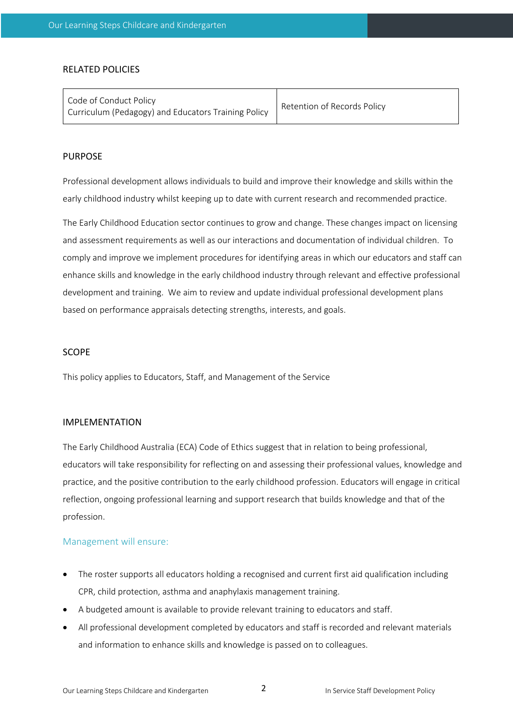#### RELATED POLICIES

| Code of Conduct Policy                              | Retention of Records Policy |
|-----------------------------------------------------|-----------------------------|
| Curriculum (Pedagogy) and Educators Training Policy |                             |

#### PURPOSE

Professional development allows individuals to build and improve their knowledge and skills within the early childhood industry whilst keeping up to date with current research and recommended practice.

The Early Childhood Education sector continues to grow and change. These changes impact on licensing and assessment requirements as well as our interactions and documentation of individual children. To comply and improve we implement procedures for identifying areas in which our educators and staff can enhance skills and knowledge in the early childhood industry through relevant and effective professional development and training. We aim to review and update individual professional development plans based on performance appraisals detecting strengths, interests, and goals.

#### SCOPE

This policy applies to Educators, Staff, and Management of the Service

#### IMPLEMENTATION

The Early Childhood Australia (ECA) Code of Ethics suggest that in relation to being professional, educators will take responsibility for reflecting on and assessing their professional values, knowledge and practice, and the positive contribution to the early childhood profession. Educators will engage in critical reflection, ongoing professional learning and support research that builds knowledge and that of the profession.

### Management will ensure:

- The roster supports all educators holding a recognised and current first aid qualification including CPR, child protection, asthma and anaphylaxis management training.
- A budgeted amount is available to provide relevant training to educators and staff.
- All professional development completed by educators and staff is recorded and relevant materials and information to enhance skills and knowledge is passed on to colleagues.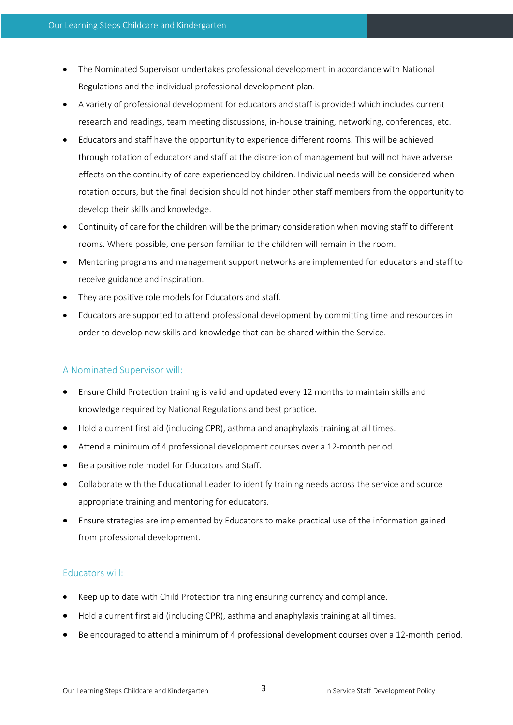- The Nominated Supervisor undertakes professional development in accordance with National Regulations and the individual professional development plan.
- A variety of professional development for educators and staff is provided which includes current research and readings, team meeting discussions, in-house training, networking, conferences, etc.
- Educators and staff have the opportunity to experience different rooms. This will be achieved through rotation of educators and staff at the discretion of management but will not have adverse effects on the continuity of care experienced by children. Individual needs will be considered when rotation occurs, but the final decision should not hinder other staff members from the opportunity to develop their skills and knowledge.
- Continuity of care for the children will be the primary consideration when moving staff to different rooms. Where possible, one person familiar to the children will remain in the room.
- Mentoring programs and management support networks are implemented for educators and staff to receive guidance and inspiration.
- They are positive role models for Educators and staff.
- Educators are supported to attend professional development by committing time and resources in order to develop new skills and knowledge that can be shared within the Service.

# A Nominated Supervisor will:

- Ensure Child Protection training is valid and updated every 12 months to maintain skills and knowledge required by National Regulations and best practice.
- Hold a current first aid (including CPR), asthma and anaphylaxis training at all times.
- Attend a minimum of 4 professional development courses over a 12-month period.
- Be a positive role model for Educators and Staff.
- Collaborate with the Educational Leader to identify training needs across the service and source appropriate training and mentoring for educators.
- Ensure strategies are implemented by Educators to make practical use of the information gained from professional development.

# Educators will:

- Keep up to date with Child Protection training ensuring currency and compliance.
- Hold a current first aid (including CPR), asthma and anaphylaxis training at all times.
- Be encouraged to attend a minimum of 4 professional development courses over a 12-month period.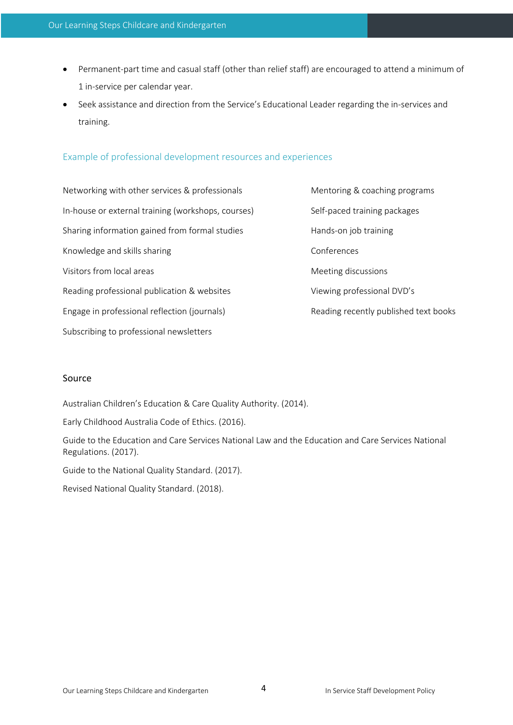- Permanent-part time and casual staff (other than relief staff) are encouraged to attend a minimum of 1 in-service per calendar year.
- Seek assistance and direction from the Service's Educational Leader regarding the in-services and training.

## Example of professional development resources and experiences

| Networking with other services & professionals     | Mentoring & coaching programs         |
|----------------------------------------------------|---------------------------------------|
| In-house or external training (workshops, courses) | Self-paced training packages          |
| Sharing information gained from formal studies     | Hands-on job training                 |
| Knowledge and skills sharing                       | Conferences                           |
| Visitors from local areas                          | Meeting discussions                   |
| Reading professional publication & websites        | Viewing professional DVD's            |
| Engage in professional reflection (journals)       | Reading recently published text books |
| Subscribing to professional newsletters            |                                       |

## Source

Australian Children's Education & Care Quality Authority. (2014).

Early Childhood Australia Code of Ethics. (2016).

Guide to the Education and Care Services National Law and the Education and Care Services National Regulations. (2017).

Guide to the National Quality Standard. (2017).

Revised National Quality Standard. (2018).